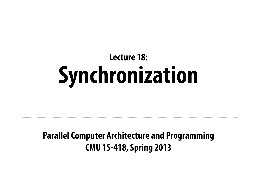### **Parallel Computer Architecture and Programming CMU 15-418, Spring 2013**

# **Lecture 18: Synchronization**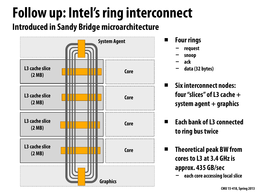## **Follow up: Intel's ring interconnect Introduced in Sandy Bridge microarchitecture**

### **▪ Four rings**

- **- request**
- **- snoop**
- **- ack**
- **- data (32 bytes)**

### **▪ Six interconnect nodes: four "slices" of L3 cache + system agent + graphics**



**▪ Each bank of L3 connected to ring bus twice**

**▪ Theoretical peak BW from cores to L3 at 3.4 GHz is approx. 435 GB/sec - each core accessing local slice**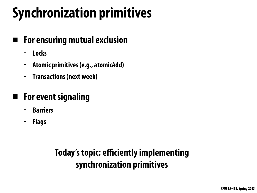# **Synchronization primitives**

- **▪ For ensuring mutual exclusion**
	- **- Locks**
	- **- Atomic primitives (e.g., atomicAdd)**
	- **- Transactions (next week)**
- **▪ For event signaling**
	- **- Barriers**
	- **- Flags**

## **Today's topic: efficiently implementing synchronization primitives**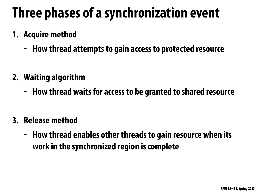# **Three phases of a synchronization event**

- **1. Acquire method**
	- **- How thread attempts to gain access to protected resource**
- **2. Waiting algorithm**
	- **- How thread waits for access to be granted to shared resource**
- **3. Release method**
	- **- How thread enables other threads to gain resource when its work in the synchronized region is complete**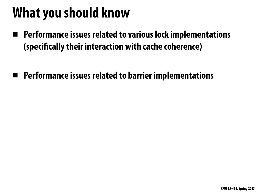# **What you should know**

- **▪ Performance issues related to various lock implementations (speci"cally their interaction with cache coherence)**
- **▪ Performance issues related to barrier implementations**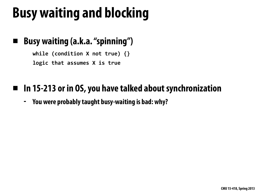# **Busy waiting and blocking**

### **▪ Busy waiting (a.k.a. "spinning")**

**while** (condition X not true) {} **logic that assumes X is true** 

### **▪ In 15-213 or in OS, you have talked about synchronization**

**- You were probably taught busy-waiting is bad: why?**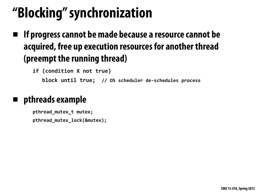# **"Blocking" synchronization**

**▪ If progress cannot be made because a resource cannot be acquired, free up execution resources for another thread (preempt the running thread)**

**if (condition X not true) block until true; // OS scheduler de-schedules process** 

### **▪ pthreads example**

**pthread\_mutex\_t mutex; pthread\_mutex\_lock(&mutex);**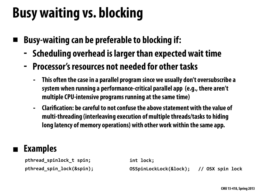# **Busy waiting vs. blocking**

- **▪ Busy-waiting can be preferable to blocking if:**
	- **- Scheduling overhead is larger than expected wait time**
	- **- Processor's resources not needed for other tasks**
		- **- This often the case in a parallel program since we usually don't oversubscribe a system when running a performance-critical parallel app (e.g., there aren't multiple CPU-intensive programs running at the same time)**
		- **- Clari"cation: be careful to not confuse the above statement with the value of multi-threading (interleaving execution of multiple threads/tasks to hiding long latency of memory operations) with other work within the same app.**

**pthread\_spinlock\_t spin;** pthread\_spin\_lock(&spin);

### **▪ Examples**

**int lock;**

**OSSpinLockLock(&lock); // OSX spin lock**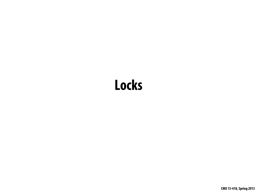## **Locks**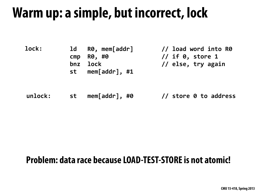## **Warm up: a simple, but incorrect, lock**

### **unlock:**

| <b>lock:</b> | $\overline{\mathsf{1d}}$ | R0, mem[addr] | $\overline{\phantom{a}}$ |
|--------------|--------------------------|---------------|--------------------------|
|              |                          | cmp R0, #0    |                          |
|              |                          | bnz lock      | $\frac{1}{2}$            |
|              | st                       | mem[addr], #1 |                          |

### **Problem: data race because LOAD-TEST-STORE is not atomic!**

### // load word into R0  $\frac{1}{16}$  if  $\theta$ , store 1 // else, try again

### st mem[addr], #0 // store 0 to address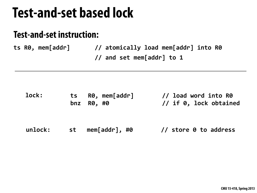## **Test-and-set based lock**

### **Test-and-set instruction:**

ts R0, mem[addr] // atomically load mem[addr] into R0 // and set mem[addr] to 1

**unlock:** st mem[addr], #0 // store 0 to address

### // load word into R0 // if 0, lock obtained

| lock: |            | ts R0, mem[addr] |
|-------|------------|------------------|
|       | bnz R0, #0 |                  |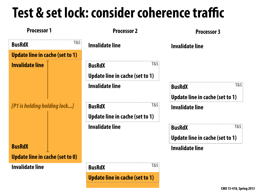# **Test & set lock: consider coherence traffic**

**Processor 1 Processor 2**

### **Invalidate line**

**Update line in cache (set to 1)**

**Invalidate line**

| <b>BusRdX</b>                          | <b>T&amp;S</b> |  |  |  |
|----------------------------------------|----------------|--|--|--|
| <b>Update line in cache (set to 1)</b> |                |  |  |  |
| <b>Invalidate line</b>                 |                |  |  |  |
| [P1 is holding holding lock]           |                |  |  |  |
| <b>BusRdX</b>                          |                |  |  |  |
| <b>Update line in cache (set to 0)</b> |                |  |  |  |
| Invalidate line                        |                |  |  |  |

**Invalidate line**

**BusRdX**

**Update line in cache (set to 1)**

**BusRdX T&S**

### **Processor 3**

### **Invalidate line**

**BusRdX Update line in cache (set to 1) T&S**

### **Invalidate line**

### **BusRdX Update line in cache (set to 1) T&S**

| <b>BusRdX</b>                   | <b>T&amp;S:</b> |
|---------------------------------|-----------------|
| Update line in cache (set to 1) |                 |
| <b>Invalidate line</b>          |                 |

**T&S**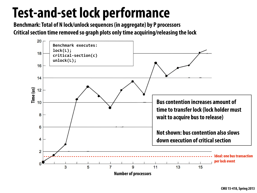# **Test-and-set lock performance**



**Benchmark: Total of N lock/unlock sequences (in aggregate) by P processors Critical section time removed so graph plots only time acquiring/releasing the lock**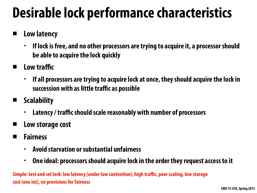# **Desirable lock performance characteristics**

- **▪ Low latency**
	- **- If lock is free, and no other processors are trying to acquire it, a processor should be able to acquire the lock quickly**
- **▪ Low traffic**
	- **- If all processors are trying to acquire lock at once, they should acquire the lock in succession with as little traffic as possible**
- **▪ Scalability**
	- **- Latency / traffic should scale reasonably with number of processors**
- **▪ Low storage cost**
- **▪ Fairness**
	- **- Avoid starvation or substantial unfairness**
	- **- One ideal: processors should acquire lock in the order they request access to it**

**Simple: test and set lock: low latency (under low contention), high traffic, poor scaling, low storage cost (one int), no provisions for fairness**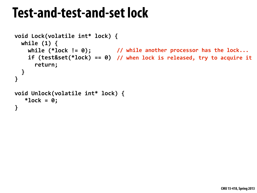## **Test-and-test-and-set lock**

```
void	Lock(volatile	int*	lock)	{
 while (1) {
while (*lock != 0);     // while another processor has the lock...
if (test&set(*lock) == 0) // when lock is released, try to acquire it
      						return;
  		}
}
void	Unlock(volatile	int*	lock)	{
   *lock = 0;}
```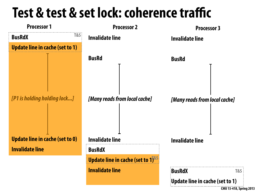

### **Test & test & set lock: coherence traffic Processor 1 Processor 2 BusRdX Update line in cache (set to 1)** *[P1 is holding holding lock...]* **Update line in cache (set to 0) Invalidate line Invalidate line BusRd** *[Many reads from local cache]* **Invalidate line BusRdX Update line in cache (set to 1) Invalidate line Processor 3 Invalidate line BusRd Invalidate line T&S T&S**

*[Many reads from local cache]*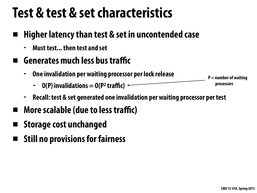## **Test & test & set characteristics**

- **▪ Higher latency than test & set in uncontended case**
	- **- Must test... then test and set**
- **▪ Generates much less bus traffic**
	- **- One invalidation per waiting processor per lock release**
		- $-$  **O(P) invalidations**  $=$  **O(P<sup>2</sup> traffic)**  $-$
	- **- Recall: test & set generated one invalidation per waiting processor per test**
- **▪ More scalable (due to less traffic)**
- **▪ Storage cost unchanged**
- **▪ Still no provisions for fairness**

### **P = number of waiting processors**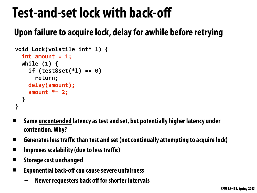# **Test-and-set lock with back-off**

```
void	Lock(volatile	int*	l)	{
  int amount = 1;
  while (1) {
    				if	(test&set(*l)	==	0)
       						return;
    delay(amount);
    				amount	*=	2;
  		}
}
```
## **Upon failure to acquire lock, delay for awhile before retrying**

- **▪ Same uncontended latency as test and set, but potentially higher latency under contention. Why?**
- **▪ Generates less traffic than test and set (not continually attempting to acquire lock)**
- **▪ Improves scalability (due to less traffic)**
- **▪ Storage cost unchanged**
- **▪ Exponential back-off can cause severe unfairness** 
	- **- Newer requesters back off for shorter intervals**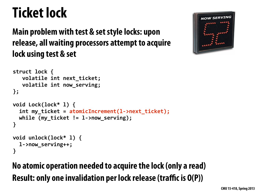# **Ticket lock**

### **Main problem with test & set style locks: upon release, all waiting processors attempt to acquire lock using test & set**

```
struct lock {
   volatile int next ticket;
   volatile int now_serving;
};
void	Lock(lock*	l)	{
  int my_ticket = atomicIncrement(l->next_ticket);
  while (my_ticket != 1->now_serving);
}
void	unlock(lock*	l)	{
  		l->now_serving++;
}
```
## **No atomic operation needed to acquire the lock (only a read) Result: only one invalidation per lock release (traffic is O(P))**

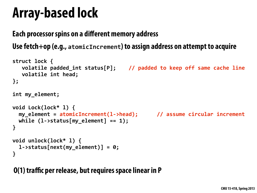## **Array-based lock**

### **Each processor spins on a different memory address Use fetch+op (e.g., atomicIncrement) to assign address on attempt to acquire**

```
struct lock {
   volatile padded_int status[P]; // padded to keep off same cache line
   volatile int head;
};
int	my_element;
void	Lock(lock*	l)	{
  		my_element	=	atomicIncrement(l->head);						//	assume	circular	increment
  while (l\text{-}status[my_element] == 1);
}
void	unlock(lock*	l)	{
  		l->status[next(my_element)]	=	0;
}
```
### **O(1) traffic per release, but requires space linear in P**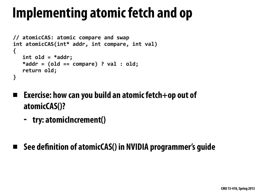# **Implementing atomic fetch and op**

- **▪ Exercise: how can you build an atomic fetch+op out of atomicCAS()?**
	- **- try: atomicIncrement()**

### **▪ See de"nition of atomicCAS() in NVIDIA programmer's guide**

```
//	atomicCAS:	atomic	compare	and	swap
int atomicCAS(int* addr, int compare, int val)
{
   int old = *addr;
   *addr = (old == compare) ? val : old;return old;
}
```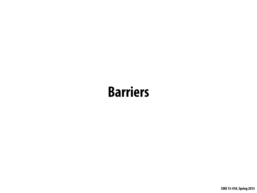## **Barriers**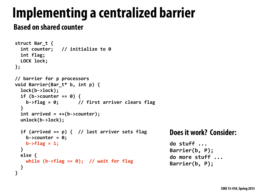# **Implementing a centralized barrier**

### **Based on shared counter**

### **Does it work? Consider:**

**do stuff ...** Barrier(b, P); do more stuff ... **Barrier(b, P);**

```
struct	Bar_t	{
  int counter; // initialize to 0
  int flag;
  LOCK lock;
};
//	barrier	for	p	processors
void	Barrier(Bar_t*	b,	int	p)	{
  		lock(b->lock);
  if (b-)counter == 0) {
    b->flag = 0; // first arriver clears flag
  		}
  int arrived = ++(b-)counter);
  		unlock(b->lock);
  if (arrived == p) { // last arriver sets flag
    b - \gtcounter = \theta;
    b\rightarrow f \tag{1}		}
  		else	{
   while (b->flag == 0); // wait for flag
		}
}
```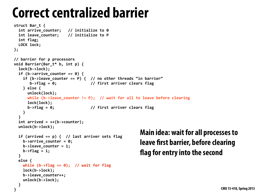## **Correct centralized barrier**

```
struct	Bar_t	{
  int arrive_counter; // initialize to 0
  int leave_counter; // initialize to P
  int flag;
  LOCK lock;
};
//	barrier	for	p	processors
void	Barrier(Bar_t*	b,	int	p)	{
  		lock(b->lock);
  if (b\text{-} \text{-} \text{arrive}_counter == 0) {
    if (b->leave counter == P) { // no other threads "in barrier"
       							b->flag	=	0;															//	first	arriver	clears	flag
    				}	else	{
      						unlock(lock);
      while (b->leave_counter != P); // wait for all to leave before clearing
      						lock(lock);
      						b->flag	=	0;																//	first	arriver	clears	flag
    				}
		}
  int arrived = ++(b-)counter);
  		unlock(b->lock);
  if (arrived == p) { // last arriver sets flag
    b->arrive_counter = 0;b->leave counter = 1;
    b\rightarrow flag = 1;
  		}
  		else	{
    while (b-)flag == 0; // wait for flag
    				lock(b->lock);
    				b->leave_counter++;
    				unlock(b->lock);
  		}
```
**}**

### **Main idea: wait for all processes to leave first barrier, before clearing \$ag for entry into the second**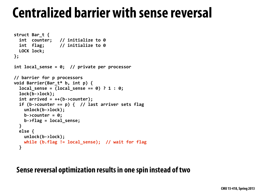## **Centralized barrier with sense reversal**

```
struct	Bar_t	{
  int counter; // initialize to 0
  int flag; // initialize to 0
  LOCK lock;
};
int local sense = 0; // private per processor
//	barrier	for	p	processors
void	Barrier(Bar_t*	b,	int	p)	{
  local sense = (local sense == 0) ? 1 : 0;		lock(b->lock);
  int arrived = ++(b-)counter);
  if (b-)counter == p) { // last arrive rest of the function.				unlock(b->lock);
    b\rightarrowcounter = \theta;
    				b->flag	=	local_sense;
  		}
  		else	{
    				unlock(b->lock);
    while (b.flag != local_sense); // wait for flag
  		}
```
### **Sense reversal optimization results in one spin instead of two**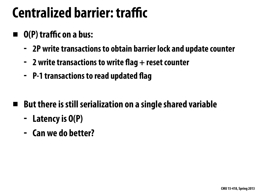## **Centralized barrier: traffic**

## **▪ O(P) traffic on a bus:**

- **- 2P write transactions to obtain barrier lock and update counter**
- **- 2 write transactions to write \$ag + reset counter**
- **- P-1 transactions to read updated \$ag**
- **▪ But there is still serialization on a single shared variable**
	- **- Latency is O(P)**
	- **- Can we do better?**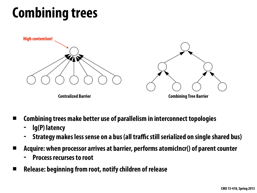# **Combining trees**

- **▪ Combining trees make better use of parallelism in interconnect topologies**
	- **- lg(P) latency**
	- **- Strategy makes less sense on a bus (all traffic still serialized on single shared bus)**
- **▪ Acquire: when processor arrives at barrier, performs atomicIncr() of parent counter**
	- **- Process recurses to root**
- **▪ Release: beginning from root, notify children of release**

**Centralized Barrier Combining Tree Barrier**

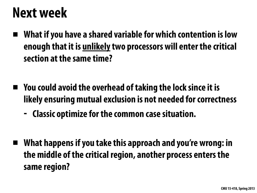## **Next week**

- **▪ What if you have a shared variable for which contention is low enough that it is unlikely two processors will enter the critical section at the same time?**
- **▪ You could avoid the overhead of taking the lock since it is likely ensuring mutual exclusion is not needed for correctness - Classic optimize for the common case situation.**
- **▪ What happens if you take this approach and you're wrong: in the middle of the critical region, another process enters the same region?**